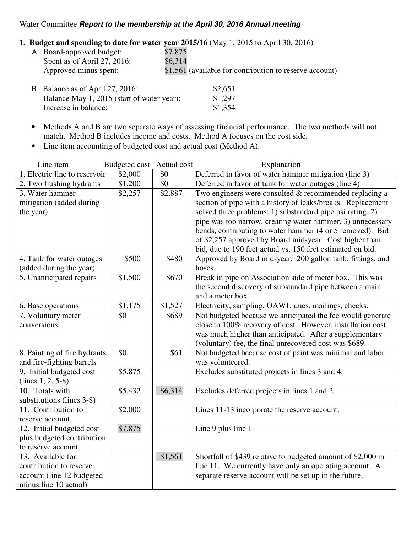## Water Committee **Report to the membership at the April 30, 2016 Annual meeting**

## **1. Budget and spending to date for water year 2015/16** (May 1, 2015 to April 30, 2016)

| A. Board-approved budget:        | \$7,875                                                 |
|----------------------------------|---------------------------------------------------------|
| Spent as of April 27, 2016:      | \$6.314                                                 |
| Approved minus spent:            | \$1,561 (available for contribution to reserve account) |
| B. Balance as of April 27, 2016: | \$2,651                                                 |

- Balance May 1, 2015 (start of water year): \$1,297 Increase in balance: \$1,354
- Methods A and B are two separate ways of assessing financial performance. The two methods will not match. Method B includes income and costs. Method A focuses on the cost side.
- Line item accounting of budgeted cost and actual cost (Method A).

| Line item                     | Budgeted cost Actual cost |         | Explanation                                                  |
|-------------------------------|---------------------------|---------|--------------------------------------------------------------|
| 1. Electric line to reservoir | \$2,000                   | \$0     | Deferred in favor of water hammer mitigation (line 3)        |
| 2. Two flushing hydrants      | \$1,200                   | \$0     | Deferred in favor of tank for water outages (line 4)         |
| 3. Water hammer               | \$2,257                   | \$2,887 | Two engineers were consulted $&$ recommended replacing a     |
| mitigation (added during      |                           |         | section of pipe with a history of leaks/breaks. Replacement  |
| the year)                     |                           |         | solved three problems: 1) substandard pipe psi rating, 2)    |
|                               |                           |         | pipe was too narrow, creating water hammer, 3) unnecessary   |
|                               |                           |         | bends, contributing to water hammer (4 or 5 removed). Bid    |
|                               |                           |         | of \$2,257 approved by Board mid-year. Cost higher than      |
|                               |                           |         | bid, due to 190 feet actual vs. 150 feet estimated on bid.   |
| 4. Tank for water outages     | \$500                     | \$480   | Approved by Board mid-year. 200 gallon tank, fittings, and   |
| (added during the year)       |                           |         | hoses.                                                       |
| 5. Unanticipated repairs      | \$1,500                   | \$670   | Break in pipe on Association side of meter box. This was     |
|                               |                           |         | the second discovery of substandard pipe between a main      |
|                               |                           |         | and a meter box.                                             |
| 6. Base operations            | \$1,175                   | \$1,527 | Electricity, sampling, OAWU dues, mailings, checks.          |
| 7. Voluntary meter            | \$0                       | \$689   | Not budgeted because we anticipated the fee would generate   |
| conversions                   |                           |         | close to 100% recovery of cost. However, installation cost   |
|                               |                           |         | was much higher than anticipated. After a supplementary      |
|                               |                           |         | (voluntary) fee, the final unrecovered cost was \$689.       |
| 8. Painting of fire hydrants  | \$0                       | \$61    | Not budgeted because cost of paint was minimal and labor     |
| and fire-fighting barrels     |                           |         | was volunteered.                                             |
| 9. Initial budgeted cost      | \$5,875                   |         | Excludes substituted projects in lines 3 and 4.              |
| $(lines 1, 2, 5-8)$           |                           |         |                                                              |
| 10. Totals with               | \$5,432                   | \$6,314 | Excludes deferred projects in lines 1 and 2.                 |
| substitutions (lines 3-8)     |                           |         |                                                              |
| 11. Contribution to           | \$2,000                   |         | Lines 11-13 incorporate the reserve account.                 |
| reserve account               |                           |         |                                                              |
| 12. Initial budgeted cost     | \$7,875                   |         | Line 9 plus line 11                                          |
| plus budgeted contribution    |                           |         |                                                              |
| to reserve account            |                           |         |                                                              |
| 13. Available for             |                           | \$1,561 | Shortfall of \$439 relative to budgeted amount of \$2,000 in |
| contribution to reserve       |                           |         | line 11. We currently have only an operating account. A      |
| account (line 12 budgeted     |                           |         | separate reserve account will be set up in the future.       |
| minus line 10 actual)         |                           |         |                                                              |